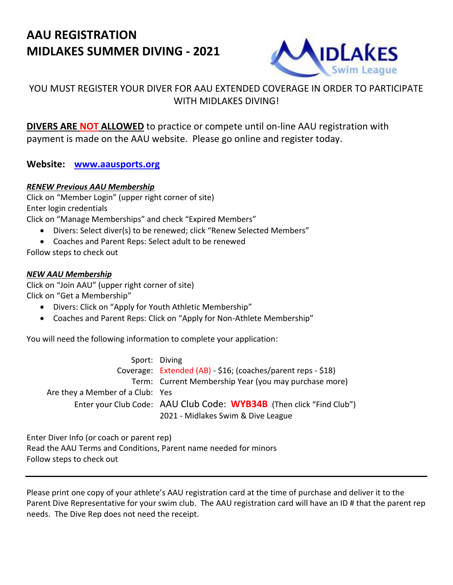# **AAU REGISTRATION MIDLAKES SUMMER DIVING - 2021**



## YOU MUST REGISTER YOUR DIVER FOR AAU EXTENDED COVERAGE IN ORDER TO PARTICIPATE WITH MIDI AKES DIVING!

**DIVERS ARE NOT ALLOWED** to practice or compete until on-line AAU registration with payment is made on the AAU website. Please go online and register today.

### **Website: [www.aausports.org](http://www.aausports.org/)**

#### *RENEW Previous AAU Membership*

Click on "Member Login" (upper right corner of site) Enter login credentials

Click on "Manage Memberships" and check "Expired Members"

- Divers: Select diver(s) to be renewed; click "Renew Selected Members"
- Coaches and Parent Reps: Select adult to be renewed

Follow steps to check out

#### *NEW AAU Membership*

Click on "Join AAU" (upper right corner of site) Click on "Get a Membership"

- Divers: Click on "Apply for Youth Athletic Membership"
- Coaches and Parent Reps: Click on "Apply for Non-Athlete Membership"

You will need the following information to complete your application:

|                                  | Sport: Diving                                                        |
|----------------------------------|----------------------------------------------------------------------|
|                                  | Coverage: Extended (AB) - \$16; (coaches/parent reps - \$18)         |
|                                  | Term: Current Membership Year (you may purchase more)                |
| Are they a Member of a Club: Yes |                                                                      |
|                                  | Enter your Club Code: AAU Club Code: WYB34B (Then click "Find Club") |
|                                  | 2021 - Midlakes Swim & Dive League                                   |

Enter Diver Info (or coach or parent rep) Read the AAU Terms and Conditions, Parent name needed for minors Follow steps to check out

Please print one copy of your athlete's AAU registration card at the time of purchase and deliver it to the Parent Dive Representative for your swim club. The AAU registration card will have an ID # that the parent rep needs. The Dive Rep does not need the receipt.